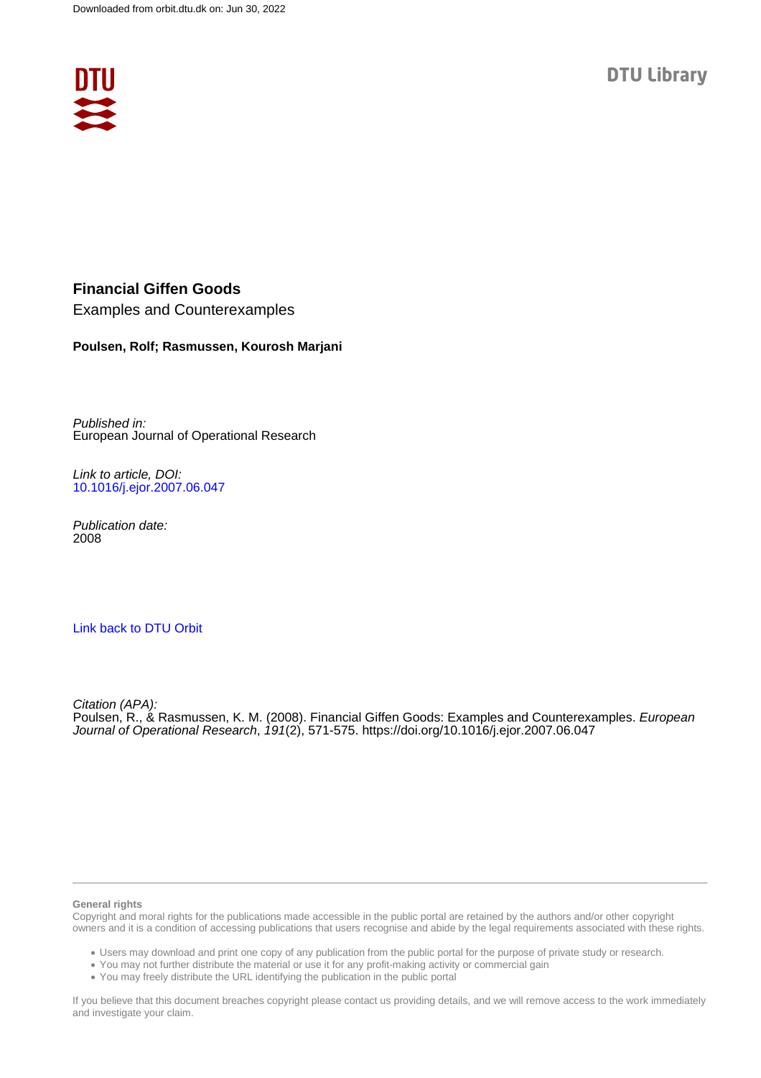

#### **Financial Giffen Goods**

Examples and Counterexamples

#### **Poulsen, Rolf; Rasmussen, Kourosh Marjani**

Published in: European Journal of Operational Research

Link to article, DOI: [10.1016/j.ejor.2007.06.047](https://doi.org/10.1016/j.ejor.2007.06.047)

Publication date: 2008

#### [Link back to DTU Orbit](https://orbit.dtu.dk/en/publications/c69e5f00-f029-43a4-b460-be88f12173d4)

Citation (APA): Poulsen, R., & Rasmussen, K. M. (2008). Financial Giffen Goods: Examples and Counterexamples. European Journal of Operational Research, 191(2), 571-575.<https://doi.org/10.1016/j.ejor.2007.06.047>

#### **General rights**

Copyright and moral rights for the publications made accessible in the public portal are retained by the authors and/or other copyright owners and it is a condition of accessing publications that users recognise and abide by the legal requirements associated with these rights.

Users may download and print one copy of any publication from the public portal for the purpose of private study or research.

- You may not further distribute the material or use it for any profit-making activity or commercial gain
- You may freely distribute the URL identifying the publication in the public portal

If you believe that this document breaches copyright please contact us providing details, and we will remove access to the work immediately and investigate your claim.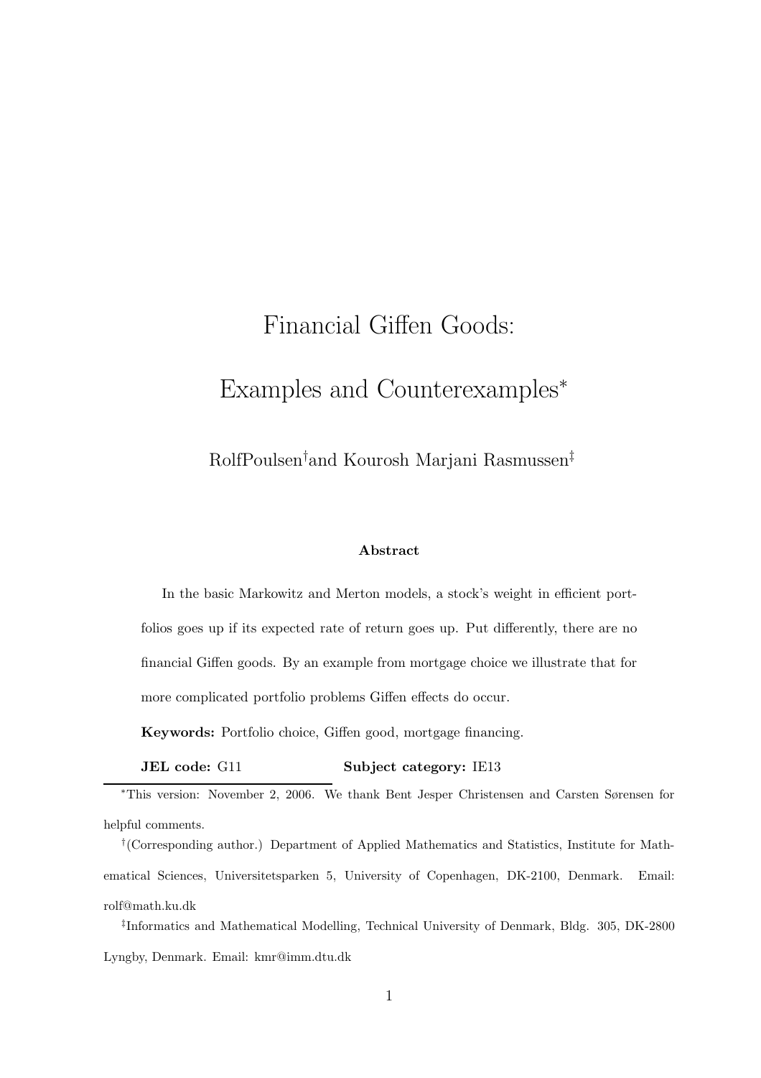# Financial Giffen Goods: Examples and Counterexamples<sup>∗</sup>

RolfPoulsen†and Kourosh Marjani Rasmussen‡

#### Abstract

In the basic Markowitz and Merton models, a stock's weight in efficient portfolios goes up if its expected rate of return goes up. Put differently, there are no financial Giffen goods. By an example from mortgage choice we illustrate that for more complicated portfolio problems Giffen effects do occur.

Keywords: Portfolio choice, Giffen good, mortgage financing.

**JEL** code: G11 Subject category: IE13

‡ Informatics and Mathematical Modelling, Technical University of Denmark, Bldg. 305, DK-2800 Lyngby, Denmark. Email: kmr@imm.dtu.dk

<sup>∗</sup>This version: November 2, 2006. We thank Bent Jesper Christensen and Carsten Sørensen for helpful comments.

<sup>†</sup> (Corresponding author.) Department of Applied Mathematics and Statistics, Institute for Mathematical Sciences, Universitetsparken 5, University of Copenhagen, DK-2100, Denmark. Email: rolf@math.ku.dk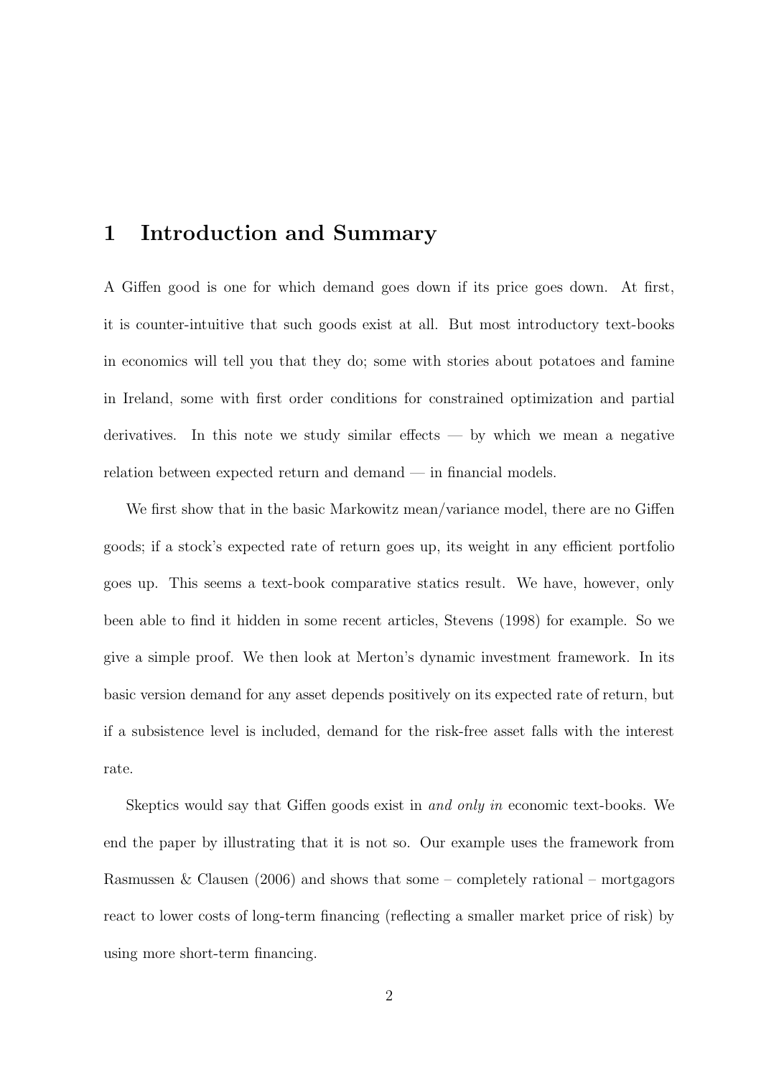### 1 Introduction and Summary

A Giffen good is one for which demand goes down if its price goes down. At first, it is counter-intuitive that such goods exist at all. But most introductory text-books in economics will tell you that they do; some with stories about potatoes and famine in Ireland, some with first order conditions for constrained optimization and partial derivatives. In this note we study similar effects  $-$  by which we mean a negative relation between expected return and demand — in financial models.

We first show that in the basic Markowitz mean/variance model, there are no Giffen goods; if a stock's expected rate of return goes up, its weight in any efficient portfolio goes up. This seems a text-book comparative statics result. We have, however, only been able to find it hidden in some recent articles, Stevens (1998) for example. So we give a simple proof. We then look at Merton's dynamic investment framework. In its basic version demand for any asset depends positively on its expected rate of return, but if a subsistence level is included, demand for the risk-free asset falls with the interest rate.

Skeptics would say that Giffen goods exist in and only in economic text-books. We end the paper by illustrating that it is not so. Our example uses the framework from Rasmussen & Clausen (2006) and shows that some – completely rational – mortgagors react to lower costs of long-term financing (reflecting a smaller market price of risk) by using more short-term financing.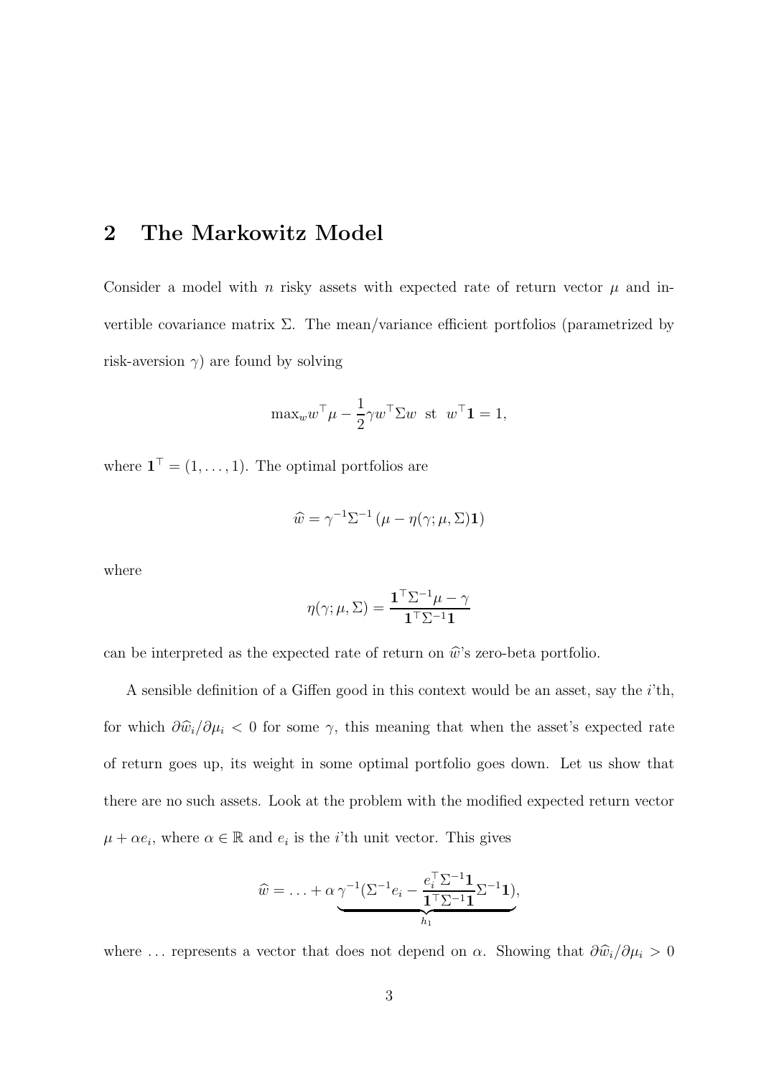## 2 The Markowitz Model

Consider a model with n risky assets with expected rate of return vector  $\mu$  and invertible covariance matrix  $\Sigma$ . The mean/variance efficient portfolios (parametrized by risk-aversion  $\gamma$ ) are found by solving

$$
\max_{w} w^{\top} \mu - \frac{1}{2} \gamma w^{\top} \Sigma w \text{ st } w^{\top} \mathbf{1} = 1,
$$

where  $\mathbf{1}^{\top} = (1, \ldots, 1)$ . The optimal portfolios are

$$
\widehat{w} = \gamma^{-1} \Sigma^{-1} \left( \mu - \eta(\gamma; \mu, \Sigma) \mathbf{1} \right)
$$

where

$$
\eta(\gamma;\mu,\Sigma) = \frac{\mathbf{1}^\top \Sigma^{-1} \mu - \gamma}{\mathbf{1}^\top \Sigma^{-1} \mathbf{1}}
$$

can be interpreted as the expected rate of return on  $\hat{w}$ 's zero-beta portfolio.

A sensible definition of a Giffen good in this context would be an asset, say the  $i$ <sup>th</sup>, for which  $\partial \hat{w}_i/\partial \mu_i$  < 0 for some  $\gamma$ , this meaning that when the asset's expected rate of return goes up, its weight in some optimal portfolio goes down. Let us show that there are no such assets. Look at the problem with the modified expected return vector  $\mu + \alpha e_i$ , where  $\alpha \in \mathbb{R}$  and  $e_i$  is the *i*'th unit vector. This gives

$$
\widehat{w} = \ldots + \alpha \underbrace{\gamma^{-1} (\Sigma^{-1} e_i - \frac{e_i^{\top} \Sigma^{-1} \mathbf{1}}{\mathbf{1}^{\top} \Sigma^{-1} \mathbf{1}} \Sigma^{-1} \mathbf{1})}_{h_1},
$$

where ... represents a vector that does not depend on  $\alpha$ . Showing that  $\frac{\partial \hat{w}_i}{\partial \mu_i} > 0$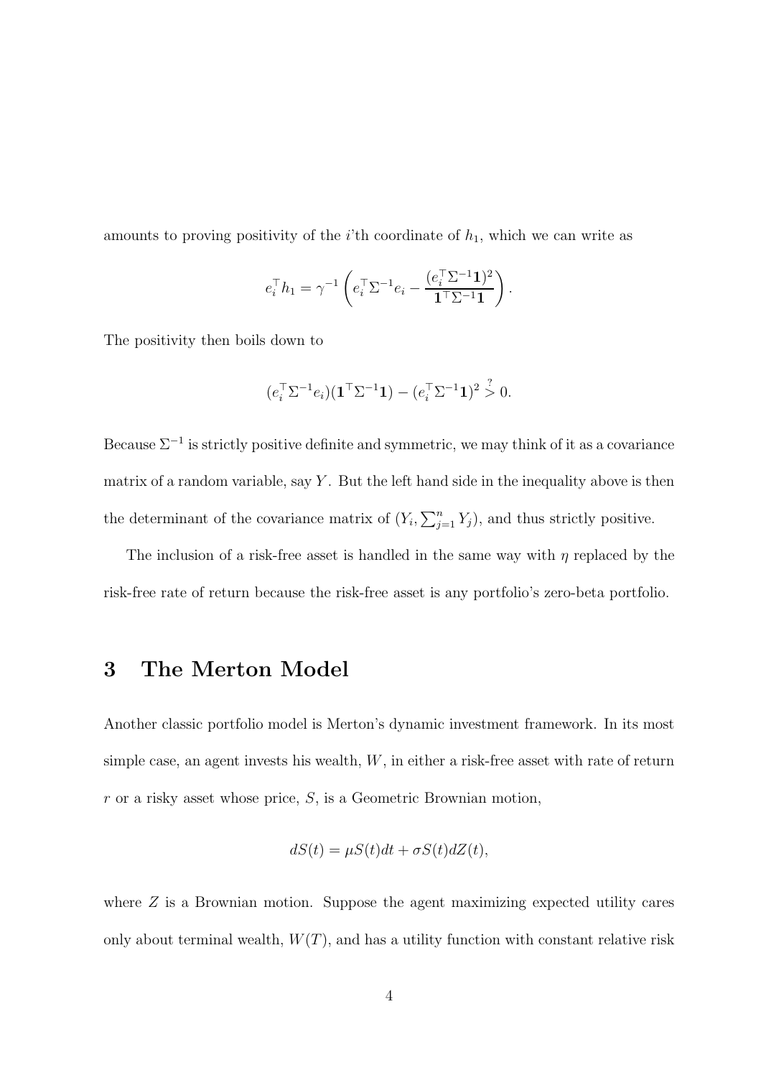amounts to proving positivity of the *i*'th coordinate of  $h_1$ , which we can write as

$$
e_i^\top h_1 = \gamma^{-1} \left( e_i^\top \Sigma^{-1} e_i - \frac{(e_i^\top \Sigma^{-1} \mathbf{1})^2}{\mathbf{1}^\top \Sigma^{-1} \mathbf{1}} \right).
$$

The positivity then boils down to

$$
(e_i^{\top} \Sigma^{-1} e_i)(\mathbf{1}^{\top} \Sigma^{-1} \mathbf{1}) - (e_i^{\top} \Sigma^{-1} \mathbf{1})^2 \overset{?}{> } 0.
$$

Because  $\Sigma^{-1}$  is strictly positive definite and symmetric, we may think of it as a covariance matrix of a random variable, say  $Y$ . But the left hand side in the inequality above is then the determinant of the covariance matrix of  $(Y_i, \sum_{j=1}^n Y_j)$ , and thus strictly positive.

The inclusion of a risk-free asset is handled in the same way with  $\eta$  replaced by the risk-free rate of return because the risk-free asset is any portfolio's zero-beta portfolio.

# 3 The Merton Model

Another classic portfolio model is Merton's dynamic investment framework. In its most simple case, an agent invests his wealth,  $W$ , in either a risk-free asset with rate of return  $r$  or a risky asset whose price,  $S$ , is a Geometric Brownian motion,

$$
dS(t) = \mu S(t)dt + \sigma S(t) dZ(t),
$$

where  $Z$  is a Brownian motion. Suppose the agent maximizing expected utility cares only about terminal wealth,  $W(T)$ , and has a utility function with constant relative risk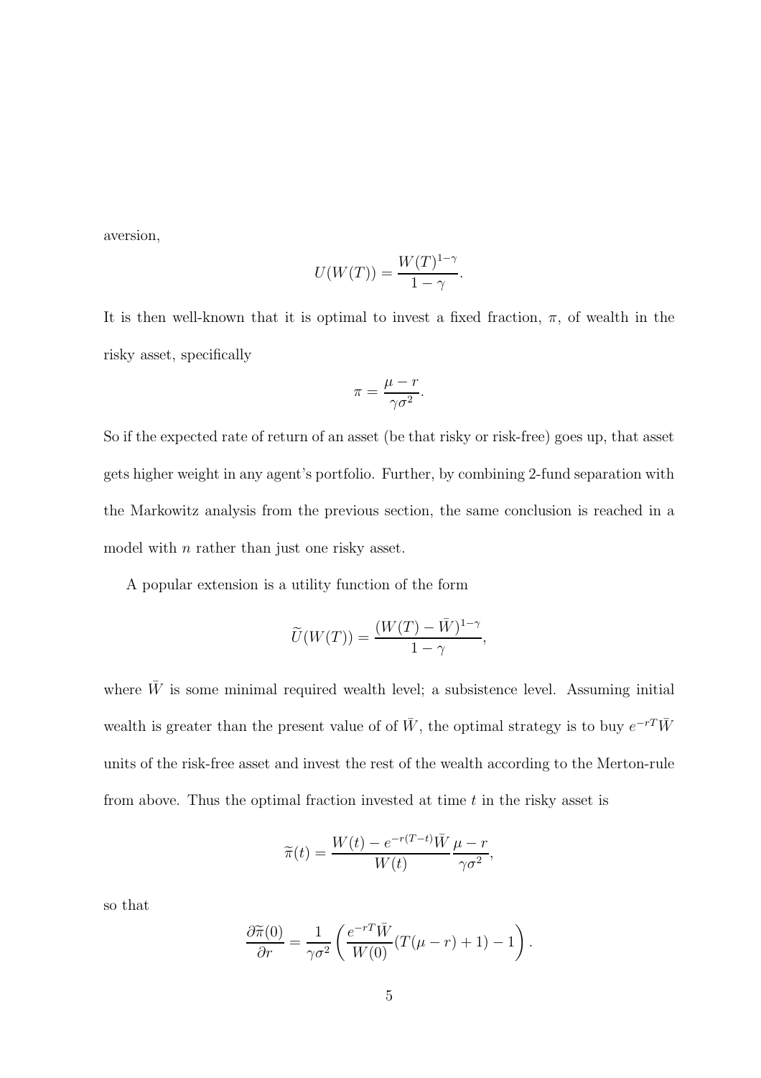aversion,

$$
U(W(T)) = \frac{W(T)^{1-\gamma}}{1-\gamma}.
$$

It is then well-known that it is optimal to invest a fixed fraction,  $\pi$ , of wealth in the risky asset, specifically

$$
\pi = \frac{\mu - r}{\gamma \sigma^2}.
$$

So if the expected rate of return of an asset (be that risky or risk-free) goes up, that asset gets higher weight in any agent's portfolio. Further, by combining 2-fund separation with the Markowitz analysis from the previous section, the same conclusion is reached in a model with *n* rather than just one risky asset.

A popular extension is a utility function of the form

$$
\widetilde{U}(W(T)) = \frac{(W(T) - \bar{W})^{1-\gamma}}{1-\gamma},
$$

where  $\bar{W}$  is some minimal required wealth level; a subsistence level. Assuming initial wealth is greater than the present value of of  $\bar{W}$ , the optimal strategy is to buy  $e^{-rT}\bar{W}$ units of the risk-free asset and invest the rest of the wealth according to the Merton-rule from above. Thus the optimal fraction invested at time  $t$  in the risky asset is

$$
\widetilde{\pi}(t) = \frac{W(t) - e^{-r(T-t)}\overline{W}}{W(t)} \frac{\mu - r}{\gamma \sigma^2},
$$

so that

$$
\frac{\partial \widetilde{\pi}(0)}{\partial r} = \frac{1}{\gamma \sigma^2} \left( \frac{e^{-rT} \bar{W}}{W(0)} (T(\mu - r) + 1) - 1 \right).
$$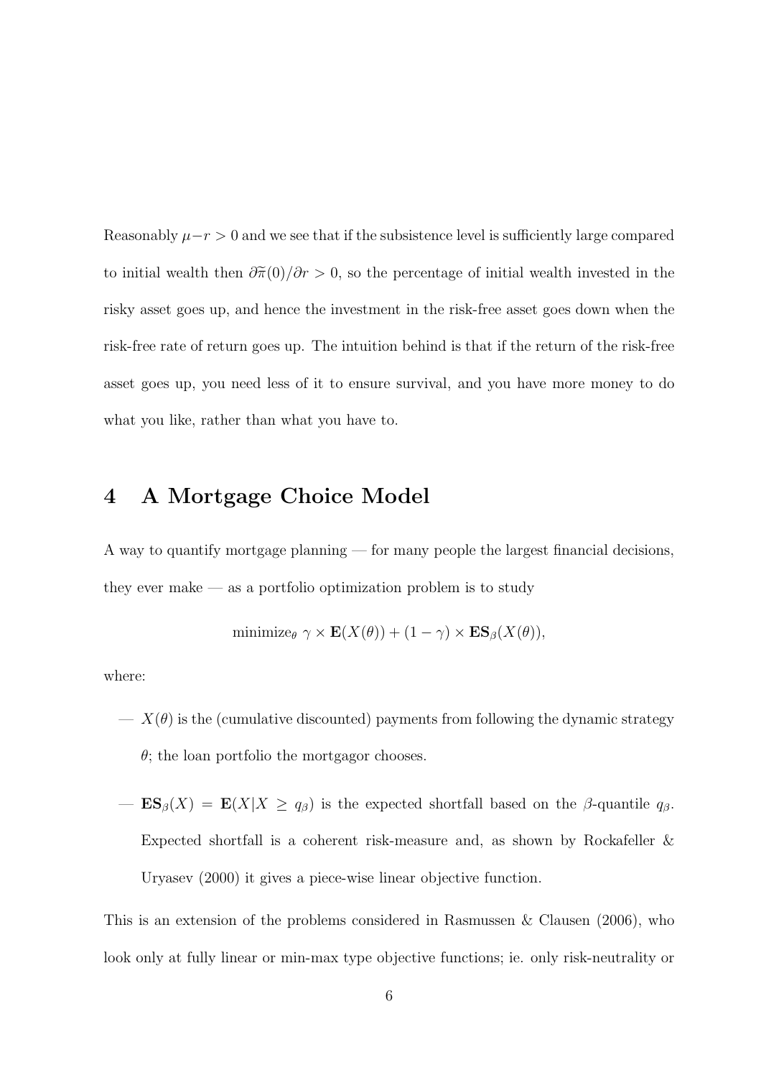Reasonably  $\mu-r > 0$  and we see that if the subsistence level is sufficiently large compared to initial wealth then  $\frac{\partial \tilde{\pi}(0)}{\partial r} > 0$ , so the percentage of initial wealth invested in the risky asset goes up, and hence the investment in the risk-free asset goes down when the risk-free rate of return goes up. The intuition behind is that if the return of the risk-free asset goes up, you need less of it to ensure survival, and you have more money to do what you like, rather than what you have to.

### 4 A Mortgage Choice Model

A way to quantify mortgage planning — for many people the largest financial decisions, they ever make  $\sim$  as a portfolio optimization problem is to study

minimize
$$
\theta
$$
  $\gamma \times \mathbf{E}(X(\theta)) + (1 - \gamma) \times \mathbf{ES}_{\beta}(X(\theta)),$ 

where:

- $-\chi(\theta)$  is the (cumulative discounted) payments from following the dynamic strategy  $\theta$ ; the loan portfolio the mortgagor chooses.
- $-\mathbf{ES}_{\beta}(X) = \mathbf{E}(X|X \geq q_{\beta})$  is the expected shortfall based on the  $\beta$ -quantile  $q_{\beta}$ . Expected shortfall is a coherent risk-measure and, as shown by Rockafeller & Uryasev (2000) it gives a piece-wise linear objective function.

This is an extension of the problems considered in Rasmussen & Clausen (2006), who look only at fully linear or min-max type objective functions; ie. only risk-neutrality or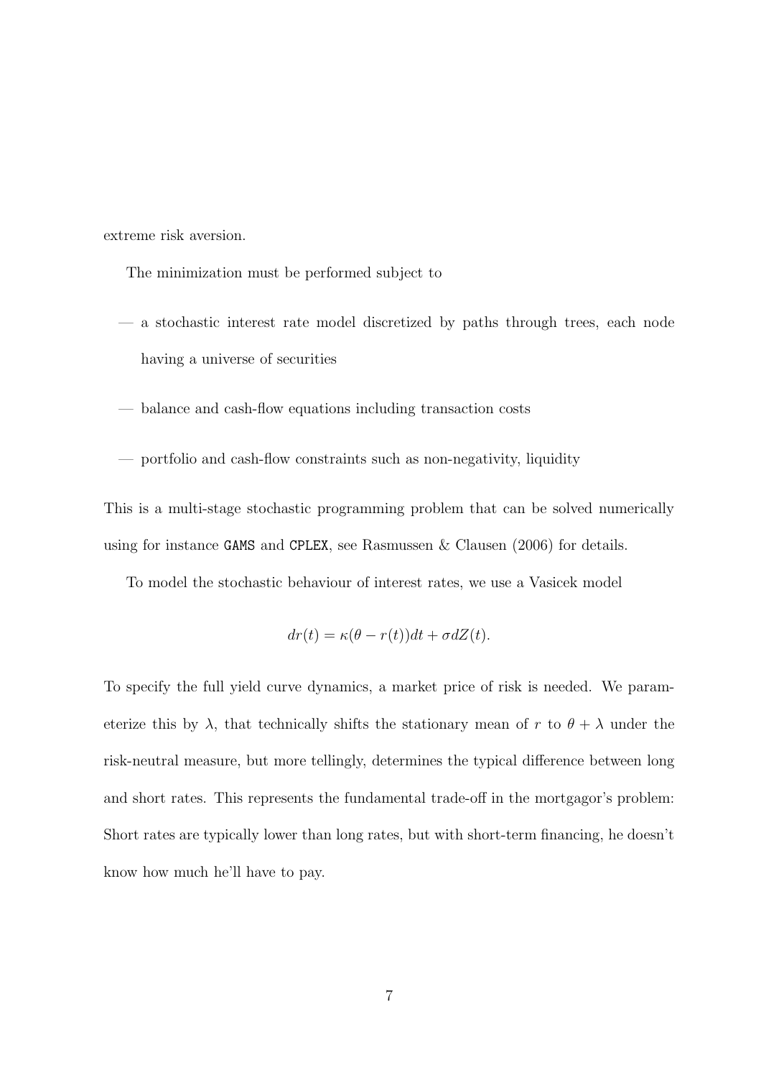extreme risk aversion.

The minimization must be performed subject to

- a stochastic interest rate model discretized by paths through trees, each node having a universe of securities
- balance and cash-flow equations including transaction costs
- portfolio and cash-flow constraints such as non-negativity, liquidity

This is a multi-stage stochastic programming problem that can be solved numerically using for instance GAMS and CPLEX, see Rasmussen & Clausen (2006) for details.

To model the stochastic behaviour of interest rates, we use a Vasicek model

$$
dr(t) = \kappa(\theta - r(t))dt + \sigma dZ(t).
$$

To specify the full yield curve dynamics, a market price of risk is needed. We parameterize this by  $\lambda$ , that technically shifts the stationary mean of r to  $\theta + \lambda$  under the risk-neutral measure, but more tellingly, determines the typical difference between long and short rates. This represents the fundamental trade-off in the mortgagor's problem: Short rates are typically lower than long rates, but with short-term financing, he doesn't know how much he'll have to pay.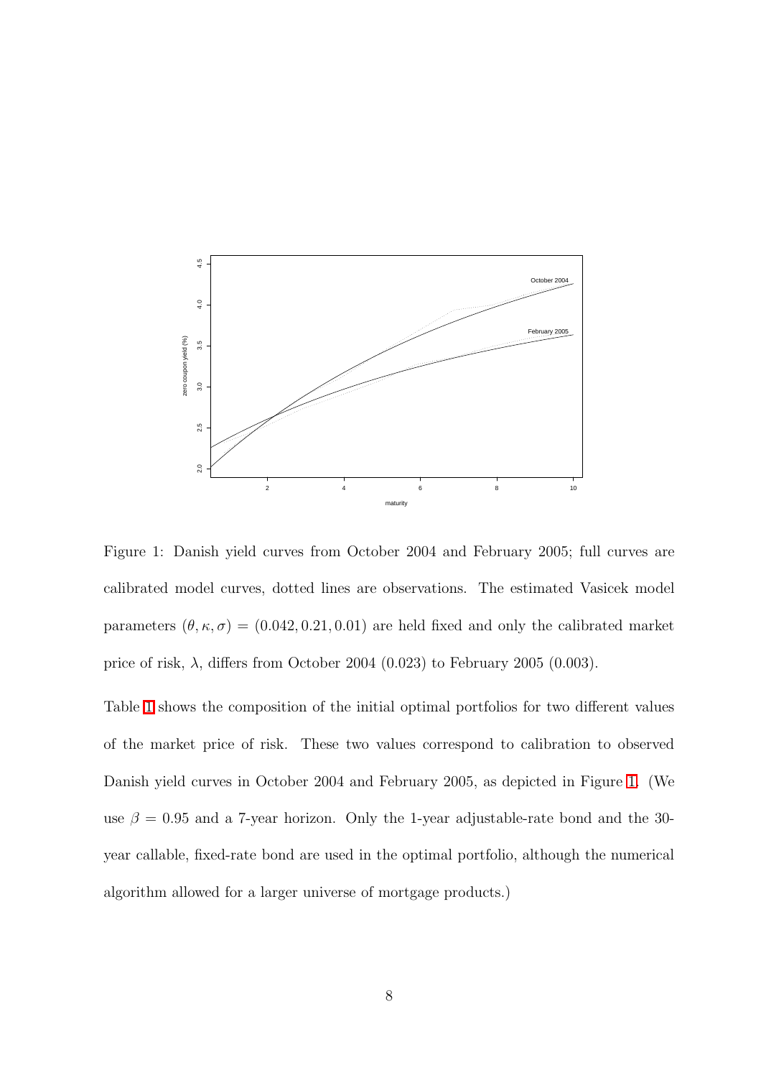

<span id="page-8-0"></span>Figure 1: Danish yield curves from October 2004 and February 2005; full curves are calibrated model curves, dotted lines are observations. The estimated Vasicek model parameters  $(\theta, \kappa, \sigma) = (0.042, 0.21, 0.01)$  are held fixed and only the calibrated market price of risk,  $\lambda$ , differs from October 2004 (0.023) to February 2005 (0.003).

Table [1](#page-9-0) shows the composition of the initial optimal portfolios for two different values of the market price of risk. These two values correspond to calibration to observed Danish yield curves in October 2004 and February 2005, as depicted in Figure [1.](#page-8-0) (We use  $\beta = 0.95$  and a 7-year horizon. Only the 1-year adjustable-rate bond and the 30year callable, fixed-rate bond are used in the optimal portfolio, although the numerical algorithm allowed for a larger universe of mortgage products.)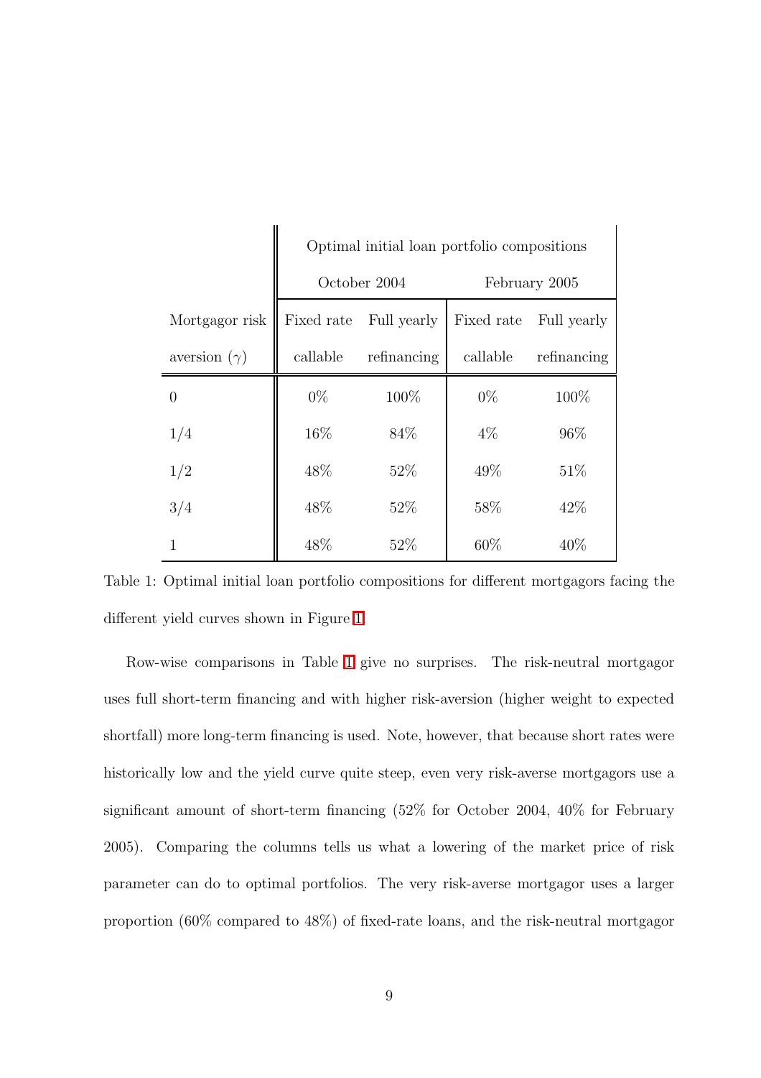|                     | Optimal initial loan portfolio compositions |             |               |             |
|---------------------|---------------------------------------------|-------------|---------------|-------------|
|                     | October 2004                                |             | February 2005 |             |
| Mortgagor risk      | Fixed rate                                  | Full yearly | Fixed rate    | Full yearly |
| aversion $(\gamma)$ | callable                                    | refinancing | callable      | refinancing |
| $\Omega$            | $0\%$                                       | 100%        | $0\%$         | 100%        |
| 1/4                 | 16%                                         | 84\%        | $4\%$         | 96%         |
| 1/2                 | 48\%                                        | 52\%        | 49%           | 51\%        |
| 3/4                 | 48\%                                        | 52%         | 58\%          | 42\%        |
| 1                   | 48%                                         | 52\%        | 60\%          | 40%         |

<span id="page-9-0"></span>Table 1: Optimal initial loan portfolio compositions for different mortgagors facing the different yield curves shown in Figure [1.](#page-8-0)

Row-wise comparisons in Table [1](#page-9-0) give no surprises. The risk-neutral mortgagor uses full short-term financing and with higher risk-aversion (higher weight to expected shortfall) more long-term financing is used. Note, however, that because short rates were historically low and the yield curve quite steep, even very risk-averse mortgagors use a significant amount of short-term financing (52% for October 2004, 40% for February 2005). Comparing the columns tells us what a lowering of the market price of risk parameter can do to optimal portfolios. The very risk-averse mortgagor uses a larger proportion (60% compared to 48%) of fixed-rate loans, and the risk-neutral mortgagor